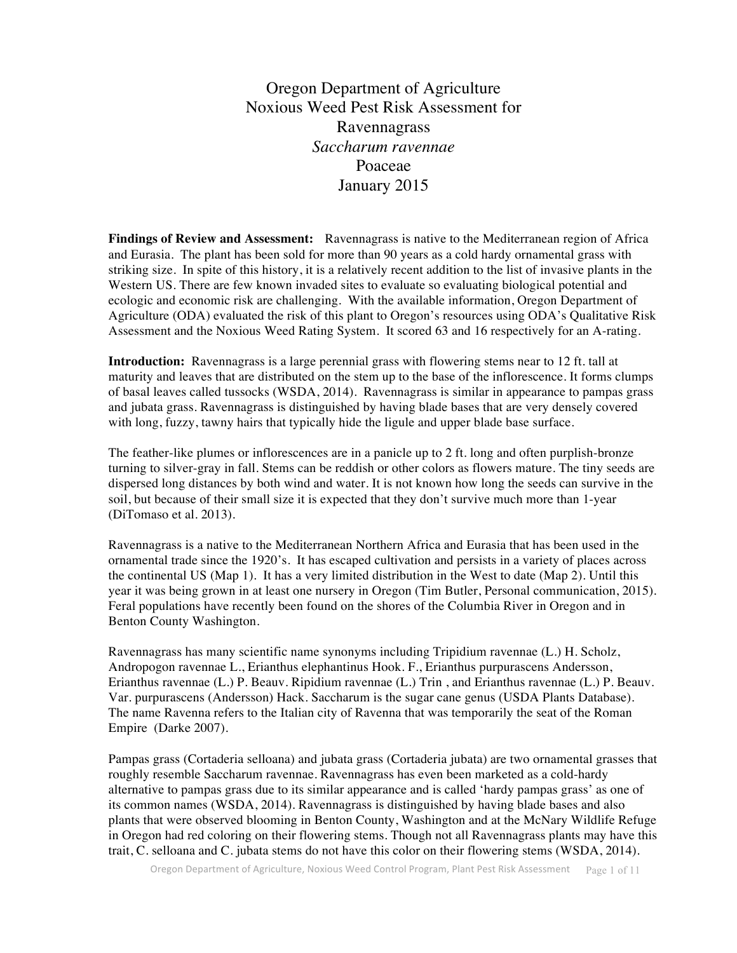Oregon Department of Agriculture Noxious Weed Pest Risk Assessment for Ravennagrass *Saccharum ravennae* Poaceae January 2015

**Findings of Review and Assessment:** Ravennagrass is native to the Mediterranean region of Africa and Eurasia. The plant has been sold for more than 90 years as a cold hardy ornamental grass with striking size. In spite of this history, it is a relatively recent addition to the list of invasive plants in the Western US. There are few known invaded sites to evaluate so evaluating biological potential and ecologic and economic risk are challenging. With the available information, Oregon Department of Agriculture (ODA) evaluated the risk of this plant to Oregon's resources using ODA's Qualitative Risk Assessment and the Noxious Weed Rating System. It scored 63 and 16 respectively for an A-rating.

**Introduction:** Ravennagrass is a large perennial grass with flowering stems near to 12 ft. tall at maturity and leaves that are distributed on the stem up to the base of the inflorescence. It forms clumps of basal leaves called tussocks (WSDA, 2014). Ravennagrass is similar in appearance to pampas grass and jubata grass. Ravennagrass is distinguished by having blade bases that are very densely covered with long, fuzzy, tawny hairs that typically hide the ligule and upper blade base surface.

The feather-like plumes or inflorescences are in a panicle up to 2 ft. long and often purplish-bronze turning to silver-gray in fall. Stems can be reddish or other colors as flowers mature. The tiny seeds are dispersed long distances by both wind and water. It is not known how long the seeds can survive in the soil, but because of their small size it is expected that they don't survive much more than 1-year (DiTomaso et al. 2013).

Ravennagrass is a native to the Mediterranean Northern Africa and Eurasia that has been used in the ornamental trade since the 1920's. It has escaped cultivation and persists in a variety of places across the continental US (Map 1). It has a very limited distribution in the West to date (Map 2). Until this year it was being grown in at least one nursery in Oregon (Tim Butler, Personal communication, 2015). Feral populations have recently been found on the shores of the Columbia River in Oregon and in Benton County Washington.

Ravennagrass has many scientific name synonyms including Tripidium ravennae (L.) H. Scholz, Andropogon ravennae L., Erianthus elephantinus Hook. F., Erianthus purpurascens Andersson, Erianthus ravennae (L.) P. Beauv. Ripidium ravennae (L.) Trin , and Erianthus ravennae (L.) P. Beauv. Var. purpurascens (Andersson) Hack. Saccharum is the sugar cane genus (USDA Plants Database). The name Ravenna refers to the Italian city of Ravenna that was temporarily the seat of the Roman Empire (Darke 2007).

Pampas grass (Cortaderia selloana) and jubata grass (Cortaderia jubata) are two ornamental grasses that roughly resemble Saccharum ravennae. Ravennagrass has even been marketed as a cold-hardy alternative to pampas grass due to its similar appearance and is called 'hardy pampas grass' as one of its common names (WSDA, 2014). Ravennagrass is distinguished by having blade bases and also plants that were observed blooming in Benton County, Washington and at the McNary Wildlife Refuge in Oregon had red coloring on their flowering stems. Though not all Ravennagrass plants may have this trait, C. selloana and C. jubata stems do not have this color on their flowering stems (WSDA, 2014).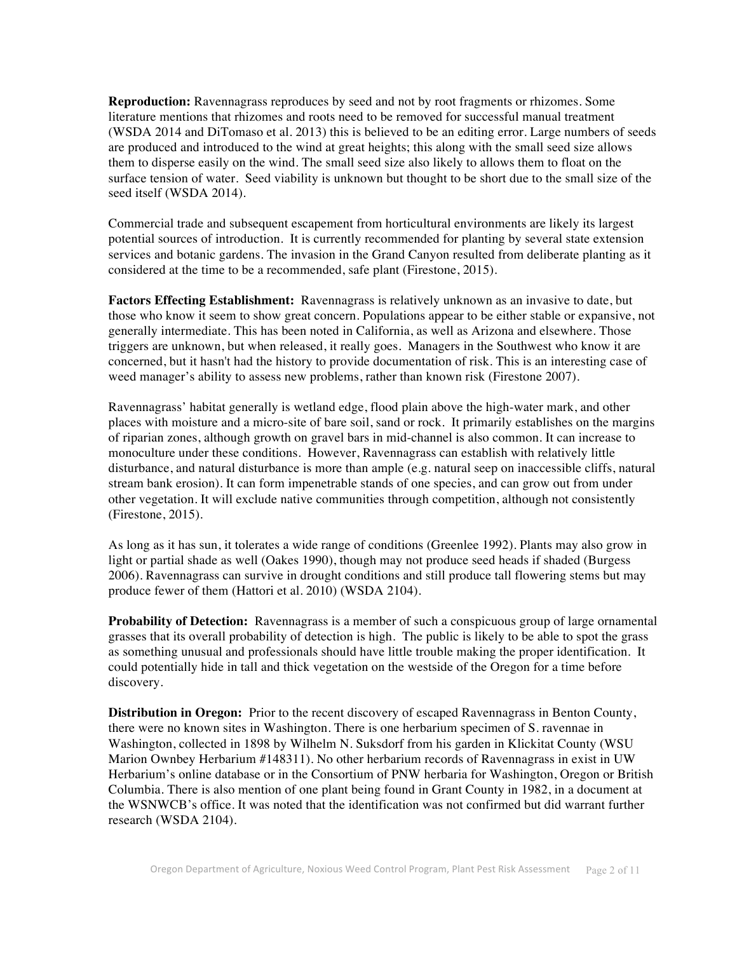**Reproduction:** Ravennagrass reproduces by seed and not by root fragments or rhizomes. Some literature mentions that rhizomes and roots need to be removed for successful manual treatment (WSDA 2014 and DiTomaso et al. 2013) this is believed to be an editing error. Large numbers of seeds are produced and introduced to the wind at great heights; this along with the small seed size allows them to disperse easily on the wind. The small seed size also likely to allows them to float on the surface tension of water. Seed viability is unknown but thought to be short due to the small size of the seed itself (WSDA 2014).

Commercial trade and subsequent escapement from horticultural environments are likely its largest potential sources of introduction. It is currently recommended for planting by several state extension services and botanic gardens. The invasion in the Grand Canyon resulted from deliberate planting as it considered at the time to be a recommended, safe plant (Firestone, 2015).

**Factors Effecting Establishment:** Ravennagrass is relatively unknown as an invasive to date, but those who know it seem to show great concern. Populations appear to be either stable or expansive, not generally intermediate. This has been noted in California, as well as Arizona and elsewhere. Those triggers are unknown, but when released, it really goes. Managers in the Southwest who know it are concerned, but it hasn't had the history to provide documentation of risk. This is an interesting case of weed manager's ability to assess new problems, rather than known risk (Firestone 2007).

Ravennagrass' habitat generally is wetland edge, flood plain above the high-water mark, and other places with moisture and a micro-site of bare soil, sand or rock. It primarily establishes on the margins of riparian zones, although growth on gravel bars in mid-channel is also common. It can increase to monoculture under these conditions. However, Ravennagrass can establish with relatively little disturbance, and natural disturbance is more than ample (e.g. natural seep on inaccessible cliffs, natural stream bank erosion). It can form impenetrable stands of one species, and can grow out from under other vegetation. It will exclude native communities through competition, although not consistently (Firestone, 2015).

As long as it has sun, it tolerates a wide range of conditions (Greenlee 1992). Plants may also grow in light or partial shade as well (Oakes 1990), though may not produce seed heads if shaded (Burgess 2006). Ravennagrass can survive in drought conditions and still produce tall flowering stems but may produce fewer of them (Hattori et al. 2010) (WSDA 2104).

**Probability of Detection:** Ravennagrass is a member of such a conspicuous group of large ornamental grasses that its overall probability of detection is high. The public is likely to be able to spot the grass as something unusual and professionals should have little trouble making the proper identification. It could potentially hide in tall and thick vegetation on the westside of the Oregon for a time before discovery.

**Distribution in Oregon:** Prior to the recent discovery of escaped Ravennagrass in Benton County, there were no known sites in Washington. There is one herbarium specimen of S. ravennae in Washington, collected in 1898 by Wilhelm N. Suksdorf from his garden in Klickitat County (WSU Marion Ownbey Herbarium #148311). No other herbarium records of Ravennagrass in exist in UW Herbarium's online database or in the Consortium of PNW herbaria for Washington, Oregon or British Columbia. There is also mention of one plant being found in Grant County in 1982, in a document at the WSNWCB's office. It was noted that the identification was not confirmed but did warrant further research (WSDA 2104).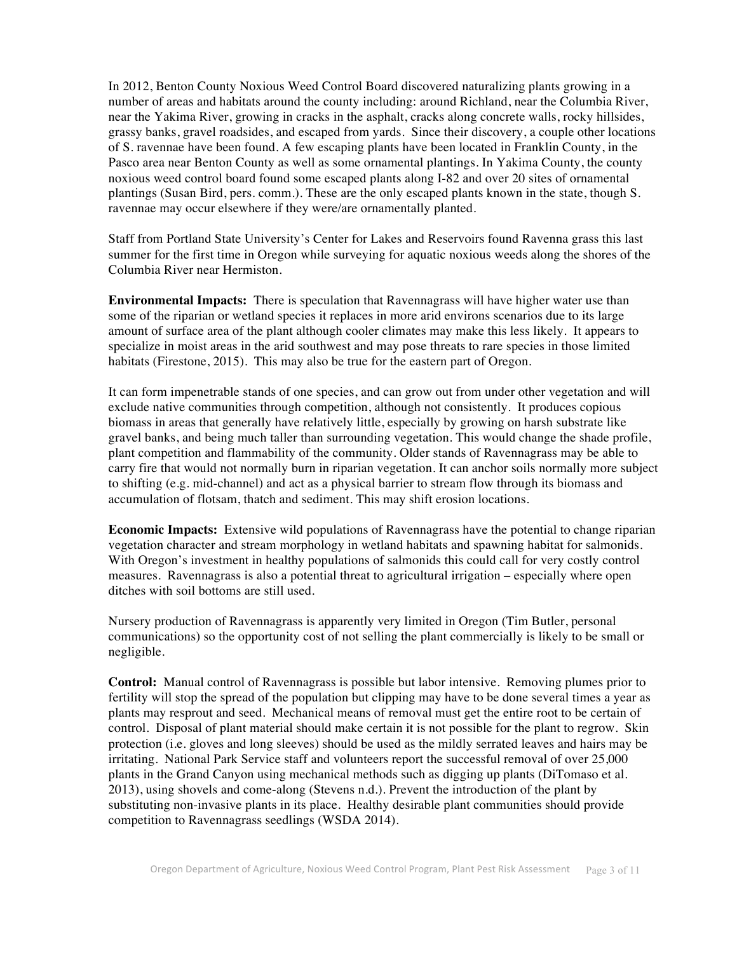In 2012, Benton County Noxious Weed Control Board discovered naturalizing plants growing in a number of areas and habitats around the county including: around Richland, near the Columbia River, near the Yakima River, growing in cracks in the asphalt, cracks along concrete walls, rocky hillsides, grassy banks, gravel roadsides, and escaped from yards. Since their discovery, a couple other locations of S. ravennae have been found. A few escaping plants have been located in Franklin County, in the Pasco area near Benton County as well as some ornamental plantings. In Yakima County, the county noxious weed control board found some escaped plants along I-82 and over 20 sites of ornamental plantings (Susan Bird, pers. comm.). These are the only escaped plants known in the state, though S. ravennae may occur elsewhere if they were/are ornamentally planted.

Staff from Portland State University's Center for Lakes and Reservoirs found Ravenna grass this last summer for the first time in Oregon while surveying for aquatic noxious weeds along the shores of the Columbia River near Hermiston.

**Environmental Impacts:** There is speculation that Ravennagrass will have higher water use than some of the riparian or wetland species it replaces in more arid environs scenarios due to its large amount of surface area of the plant although cooler climates may make this less likely. It appears to specialize in moist areas in the arid southwest and may pose threats to rare species in those limited habitats (Firestone, 2015). This may also be true for the eastern part of Oregon.

It can form impenetrable stands of one species, and can grow out from under other vegetation and will exclude native communities through competition, although not consistently. It produces copious biomass in areas that generally have relatively little, especially by growing on harsh substrate like gravel banks, and being much taller than surrounding vegetation. This would change the shade profile, plant competition and flammability of the community. Older stands of Ravennagrass may be able to carry fire that would not normally burn in riparian vegetation. It can anchor soils normally more subject to shifting (e.g. mid-channel) and act as a physical barrier to stream flow through its biomass and accumulation of flotsam, thatch and sediment. This may shift erosion locations.

**Economic Impacts:** Extensive wild populations of Ravennagrass have the potential to change riparian vegetation character and stream morphology in wetland habitats and spawning habitat for salmonids. With Oregon's investment in healthy populations of salmonids this could call for very costly control measures. Ravennagrass is also a potential threat to agricultural irrigation – especially where open ditches with soil bottoms are still used.

Nursery production of Ravennagrass is apparently very limited in Oregon (Tim Butler, personal communications) so the opportunity cost of not selling the plant commercially is likely to be small or negligible.

**Control:** Manual control of Ravennagrass is possible but labor intensive. Removing plumes prior to fertility will stop the spread of the population but clipping may have to be done several times a year as plants may resprout and seed. Mechanical means of removal must get the entire root to be certain of control. Disposal of plant material should make certain it is not possible for the plant to regrow. Skin protection (i.e. gloves and long sleeves) should be used as the mildly serrated leaves and hairs may be irritating. National Park Service staff and volunteers report the successful removal of over 25,000 plants in the Grand Canyon using mechanical methods such as digging up plants (DiTomaso et al. 2013), using shovels and come-along (Stevens n.d.). Prevent the introduction of the plant by substituting non-invasive plants in its place. Healthy desirable plant communities should provide competition to Ravennagrass seedlings (WSDA 2014).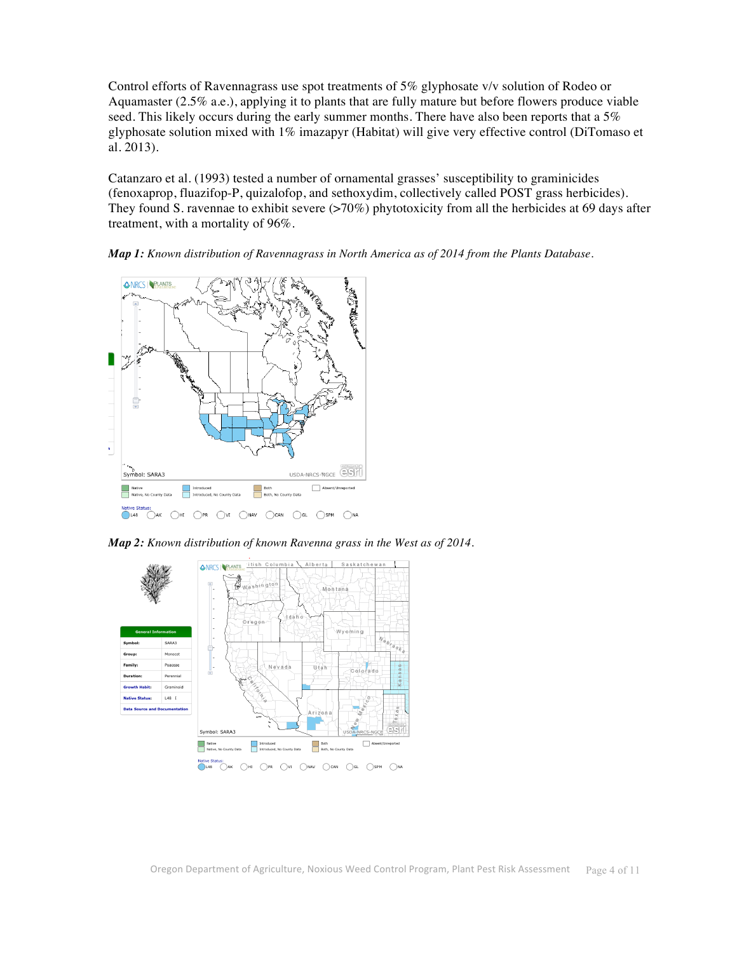Control efforts of Ravennagrass use spot treatments of 5% glyphosate v/v solution of Rodeo or Aquamaster (2.5% a.e.), applying it to plants that are fully mature but before flowers produce viable seed. This likely occurs during the early summer months. There have also been reports that a 5% glyphosate solution mixed with 1% imazapyr (Habitat) will give very effective control (DiTomaso et al. 2013).

Catanzaro et al. (1993) tested a number of ornamental grasses' susceptibility to graminicides (fenoxaprop, fluazifop-P, quizalofop, and sethoxydim, collectively called POST grass herbicides). They found S. ravennae to exhibit severe  $(>70\%)$  phytotoxicity from all the herbicides at 69 days after treatment, with a mortality of 96%.

*Map 1: Known distribution of Ravennagrass in North America as of 2014 from the Plants Database.* 



*Map 2: Known distribution of known Ravenna grass in the West as of 2014.* 

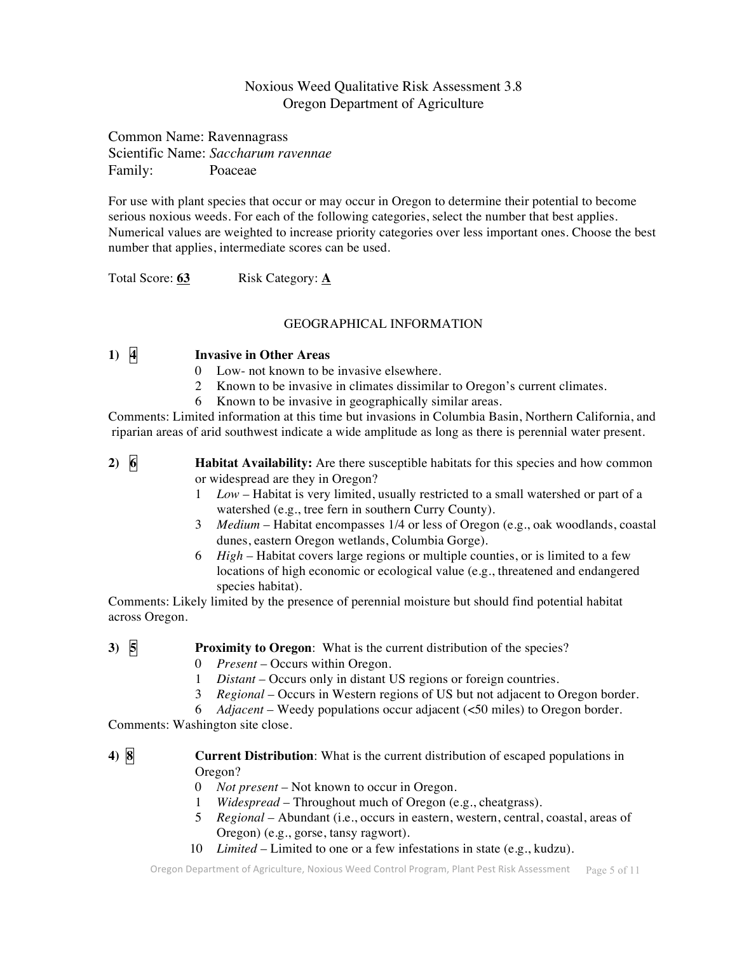## Noxious Weed Qualitative Risk Assessment 3.8 Oregon Department of Agriculture

Common Name: Ravennagrass Scientific Name: *Saccharum ravennae* Family: Poaceae

For use with plant species that occur or may occur in Oregon to determine their potential to become serious noxious weeds. For each of the following categories, select the number that best applies. Numerical values are weighted to increase priority categories over less important ones. Choose the best number that applies, intermediate scores can be used.

Total Score: 63 Risk Category: A

## GEOGRAPHICAL INFORMATION

## **1) 4 Invasive in Other Areas**

- 0 Low- not known to be invasive elsewhere.
- 2 Known to be invasive in climates dissimilar to Oregon's current climates.
- 6 Known to be invasive in geographically similar areas.

Comments: Limited information at this time but invasions in Columbia Basin, Northern California, and riparian areas of arid southwest indicate a wide amplitude as long as there is perennial water present.

**2) 6 Habitat Availability:** Are there susceptible habitats for this species and how common or widespread are they in Oregon?

- 1 *Low* Habitat is very limited, usually restricted to a small watershed or part of a watershed (e.g., tree fern in southern Curry County).
- 3 *Medium* Habitat encompasses 1/4 or less of Oregon (e.g., oak woodlands, coastal dunes, eastern Oregon wetlands, Columbia Gorge).
- 6 *High* Habitat covers large regions or multiple counties, or is limited to a few locations of high economic or ecological value (e.g., threatened and endangered species habitat).

Comments: Likely limited by the presence of perennial moisture but should find potential habitat across Oregon.

## **3) 5 Proximity to Oregon**: What is the current distribution of the species?

- 0 *Present* Occurs within Oregon.
- 1 *Distant* Occurs only in distant US regions or foreign countries.
- 3 *Regional* Occurs in Western regions of US but not adjacent to Oregon border.
- 6 *Adjacent* Weedy populations occur adjacent (<50 miles) to Oregon border.

Comments: Washington site close.

## **4) 8 Current Distribution**: What is the current distribution of escaped populations in Oregon?

- 0 *Not present* Not known to occur in Oregon.
- 1 *Widespread* Throughout much of Oregon (e.g., cheatgrass).
- 5 *Regional* Abundant (i.e., occurs in eastern, western, central, coastal, areas of Oregon) (e.g., gorse, tansy ragwort).
- 10 *Limited* Limited to one or a few infestations in state (e.g., kudzu).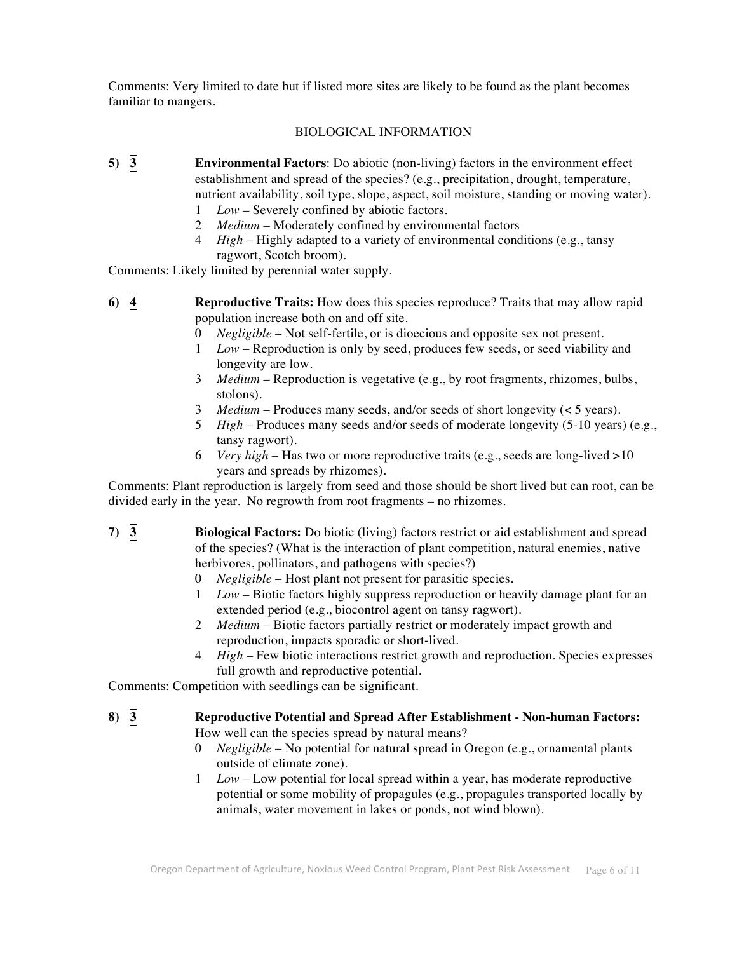Comments: Very limited to date but if listed more sites are likely to be found as the plant becomes familiar to mangers.

### BIOLOGICAL INFORMATION

- **5) 3 Environmental Factors**: Do abiotic (non-living) factors in the environment effect establishment and spread of the species? (e.g., precipitation, drought, temperature, nutrient availability, soil type, slope, aspect, soil moisture, standing or moving water).
	- 1 *Low* Severely confined by abiotic factors.
	- 2 *Medium* Moderately confined by environmental factors
	- 4 *High* Highly adapted to a variety of environmental conditions (e.g., tansy ragwort, Scotch broom).

Comments: Likely limited by perennial water supply.

- **6) 4 Reproductive Traits:** How does this species reproduce? Traits that may allow rapid population increase both on and off site.
	- 0 *Negligible* Not self-fertile, or is dioecious and opposite sex not present.
	- 1 *Low* Reproduction is only by seed, produces few seeds, or seed viability and longevity are low.
	- 3 *Medium* Reproduction is vegetative (e.g., by root fragments, rhizomes, bulbs, stolons).
	- 3 *Medium* Produces many seeds, and/or seeds of short longevity (< 5 years).
	- 5 *High* Produces many seeds and/or seeds of moderate longevity (5-10 years) (e.g., tansy ragwort).
	- 6 *Very high* Has two or more reproductive traits (e.g., seeds are long-lived >10 years and spreads by rhizomes).

Comments: Plant reproduction is largely from seed and those should be short lived but can root, can be divided early in the year. No regrowth from root fragments – no rhizomes.

**7) 3 Biological Factors:** Do biotic (living) factors restrict or aid establishment and spread of the species? (What is the interaction of plant competition, natural enemies, native herbivores, pollinators, and pathogens with species?)

- 0 *Negligible* Host plant not present for parasitic species.
- 1 *Low* Biotic factors highly suppress reproduction or heavily damage plant for an extended period (e.g., biocontrol agent on tansy ragwort).
- 2 *Medium* Biotic factors partially restrict or moderately impact growth and reproduction, impacts sporadic or short-lived.
- 4 *High* Few biotic interactions restrict growth and reproduction. Species expresses full growth and reproductive potential.

Comments: Competition with seedlings can be significant.

- **8) 3 Reproductive Potential and Spread After Establishment - Non-human Factors:** How well can the species spread by natural means?
	- 0 *Negligible*  No potential for natural spread in Oregon (e.g., ornamental plants outside of climate zone).
	- 1 *Low* Low potential for local spread within a year, has moderate reproductive potential or some mobility of propagules (e.g., propagules transported locally by animals, water movement in lakes or ponds, not wind blown).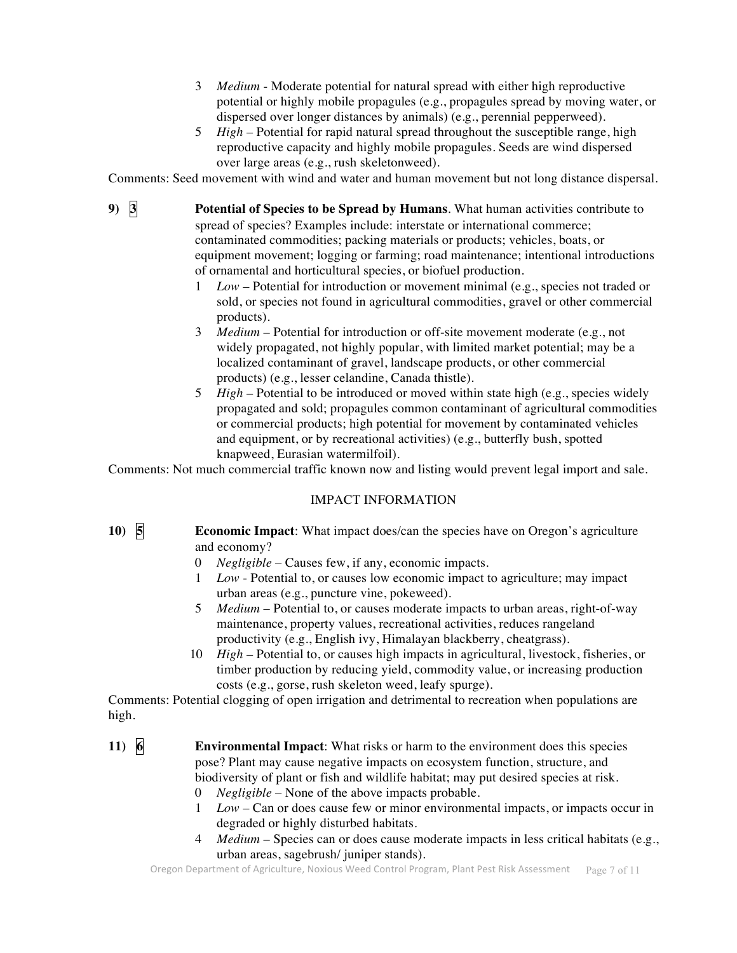- 3 *Medium* Moderate potential for natural spread with either high reproductive potential or highly mobile propagules (e.g., propagules spread by moving water, or dispersed over longer distances by animals) (e.g., perennial pepperweed).
- 5 *High*  Potential for rapid natural spread throughout the susceptible range, high reproductive capacity and highly mobile propagules. Seeds are wind dispersed over large areas (e.g., rush skeletonweed).

Comments: Seed movement with wind and water and human movement but not long distance dispersal.

**9) 3 Potential of Species to be Spread by Humans**. What human activities contribute to spread of species? Examples include: interstate or international commerce; contaminated commodities; packing materials or products; vehicles, boats, or equipment movement; logging or farming; road maintenance; intentional introductions of ornamental and horticultural species, or biofuel production.

- 1 *Low* Potential for introduction or movement minimal (e.g., species not traded or sold, or species not found in agricultural commodities, gravel or other commercial products).
- 3 *Medium*  Potential for introduction or off-site movement moderate (e.g., not widely propagated, not highly popular, with limited market potential; may be a localized contaminant of gravel, landscape products, or other commercial products) (e.g., lesser celandine, Canada thistle).
- 5 *High*  Potential to be introduced or moved within state high (e.g., species widely propagated and sold; propagules common contaminant of agricultural commodities or commercial products; high potential for movement by contaminated vehicles and equipment, or by recreational activities) (e.g., butterfly bush, spotted knapweed, Eurasian watermilfoil).

Comments: Not much commercial traffic known now and listing would prevent legal import and sale.

#### IMPACT INFORMATION

**10) 5 Economic Impact**: What impact does/can the species have on Oregon's agriculture and economy?

- 0 *Negligible* Causes few, if any, economic impacts.
- 1 *Low* Potential to, or causes low economic impact to agriculture; may impact urban areas (e.g., puncture vine, pokeweed).
- 5 *Medium* Potential to, or causes moderate impacts to urban areas, right-of-way maintenance, property values, recreational activities, reduces rangeland productivity (e.g., English ivy, Himalayan blackberry, cheatgrass).
- 10 *High*  Potential to, or causes high impacts in agricultural, livestock, fisheries, or timber production by reducing yield, commodity value, or increasing production costs (e.g., gorse, rush skeleton weed, leafy spurge).

Comments: Potential clogging of open irrigation and detrimental to recreation when populations are high.

- **11) 6 Environmental Impact**: What risks or harm to the environment does this species pose? Plant may cause negative impacts on ecosystem function, structure, and biodiversity of plant or fish and wildlife habitat; may put desired species at risk.
	- 0 *Negligible*  None of the above impacts probable.
	- 1 *Low* Can or does cause few or minor environmental impacts, or impacts occur in degraded or highly disturbed habitats.
	- 4 *Medium*  Species can or does cause moderate impacts in less critical habitats (e.g., urban areas, sagebrush/ juniper stands).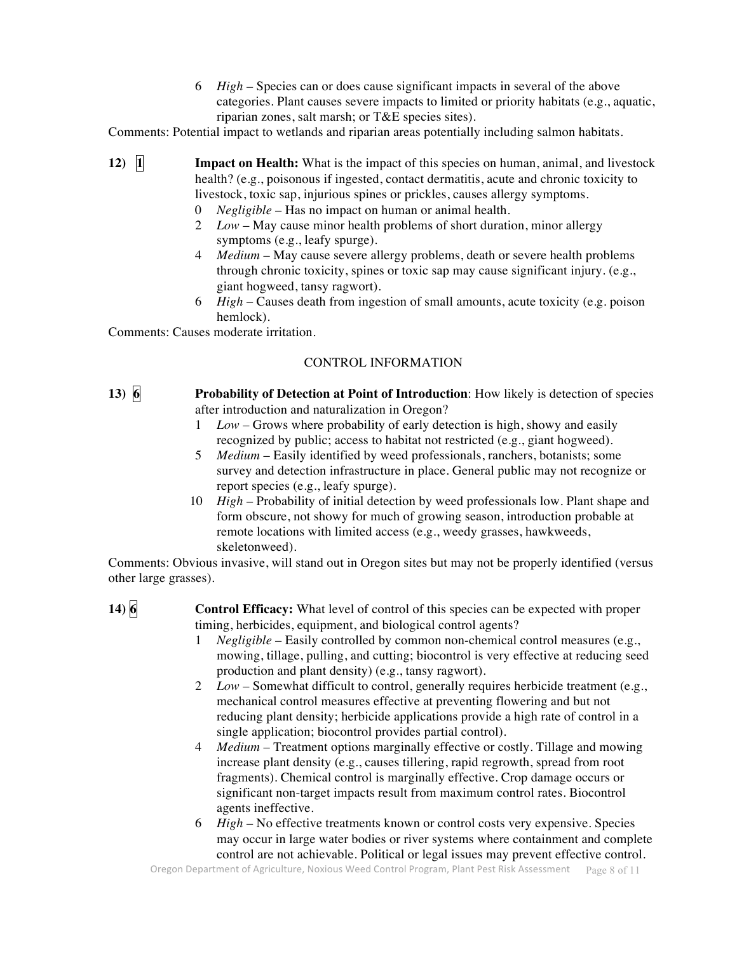6 *High* – Species can or does cause significant impacts in several of the above categories. Plant causes severe impacts to limited or priority habitats (e.g., aquatic, riparian zones, salt marsh; or T&E species sites).

Comments: Potential impact to wetlands and riparian areas potentially including salmon habitats.

- **12) I Impact on Health:** What is the impact of this species on human, animal, and livestock health? (e.g., poisonous if ingested, contact dermatitis, acute and chronic toxicity to livestock, toxic sap, injurious spines or prickles, causes allergy symptoms.
	- 0 *Negligible* Has no impact on human or animal health.
	- 2 *Low*  May cause minor health problems of short duration, minor allergy symptoms (e.g., leafy spurge).
	- 4 *Medium*  May cause severe allergy problems, death or severe health problems through chronic toxicity, spines or toxic sap may cause significant injury. (e.g., giant hogweed, tansy ragwort).
	- 6 *High* Causes death from ingestion of small amounts, acute toxicity (e.g. poison hemlock).

Comments: Causes moderate irritation.

### CONTROL INFORMATION

- **13) 6 Probability of Detection at Point of Introduction**: How likely is detection of species after introduction and naturalization in Oregon?
	- 1 *Low*  Grows where probability of early detection is high, showy and easily recognized by public; access to habitat not restricted (e.g., giant hogweed).
	- 5 *Medium* Easily identified by weed professionals, ranchers, botanists; some survey and detection infrastructure in place. General public may not recognize or report species (e.g., leafy spurge).
	- 10 *High* Probability of initial detection by weed professionals low. Plant shape and form obscure, not showy for much of growing season, introduction probable at remote locations with limited access (e.g., weedy grasses, hawkweeds, skeletonweed).

Comments: Obvious invasive, will stand out in Oregon sites but may not be properly identified (versus other large grasses).

- **14) 6 Control Efficacy:** What level of control of this species can be expected with proper timing, herbicides, equipment, and biological control agents?
	- 1 *Negligible* Easily controlled by common non-chemical control measures (e.g., mowing, tillage, pulling, and cutting; biocontrol is very effective at reducing seed production and plant density) (e.g., tansy ragwort).
	- 2 *Low*  Somewhat difficult to control, generally requires herbicide treatment (e.g., mechanical control measures effective at preventing flowering and but not reducing plant density; herbicide applications provide a high rate of control in a single application; biocontrol provides partial control).
	- 4 *Medium*  Treatment options marginally effective or costly. Tillage and mowing increase plant density (e.g., causes tillering, rapid regrowth, spread from root fragments). Chemical control is marginally effective. Crop damage occurs or significant non-target impacts result from maximum control rates. Biocontrol agents ineffective.
	- 6 *High* No effective treatments known or control costs very expensive. Species may occur in large water bodies or river systems where containment and complete control are not achievable. Political or legal issues may prevent effective control.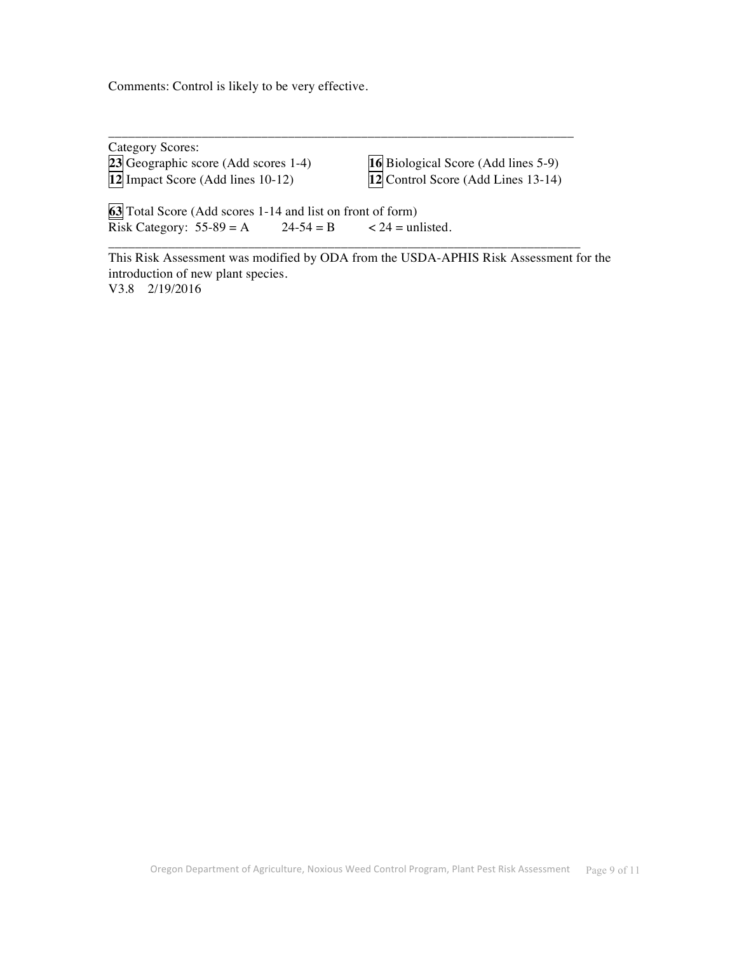Comments: Control is likely to be very effective.

| Category Scores:                                                            |                                                                           |
|-----------------------------------------------------------------------------|---------------------------------------------------------------------------|
| $23$ Geographic score (Add scores 1-4)<br>12 Impact Score (Add lines 10-12) | 16 Biological Score (Add lines 5-9)<br>12 Control Score (Add Lines 13-14) |
| $\sqrt{2}$                                                                  |                                                                           |

\_\_\_\_\_\_\_\_\_\_\_\_\_\_\_\_\_\_\_\_\_\_\_\_\_\_\_\_\_\_\_\_\_\_\_\_\_\_\_\_\_\_\_\_\_\_\_\_\_\_\_\_\_\_\_\_\_\_\_\_\_\_\_\_\_\_\_\_\_\_\_

\_\_\_\_\_\_\_\_\_\_\_\_\_\_\_\_\_\_\_\_\_\_\_\_\_\_\_\_\_\_\_\_\_\_\_\_\_\_\_\_\_\_\_\_\_\_\_\_\_\_\_\_\_\_\_\_\_\_\_\_\_\_\_\_\_\_\_\_\_\_

**63** Total Score (Add scores 1-14 and list on front of form) Risk Category:  $55-89 = A$   $24-54 = B$   $< 24 = \text{unlisted.}$ 

This Risk Assessment was modified by ODA from the USDA-APHIS Risk Assessment for the introduction of new plant species. V3.8 2/19/2016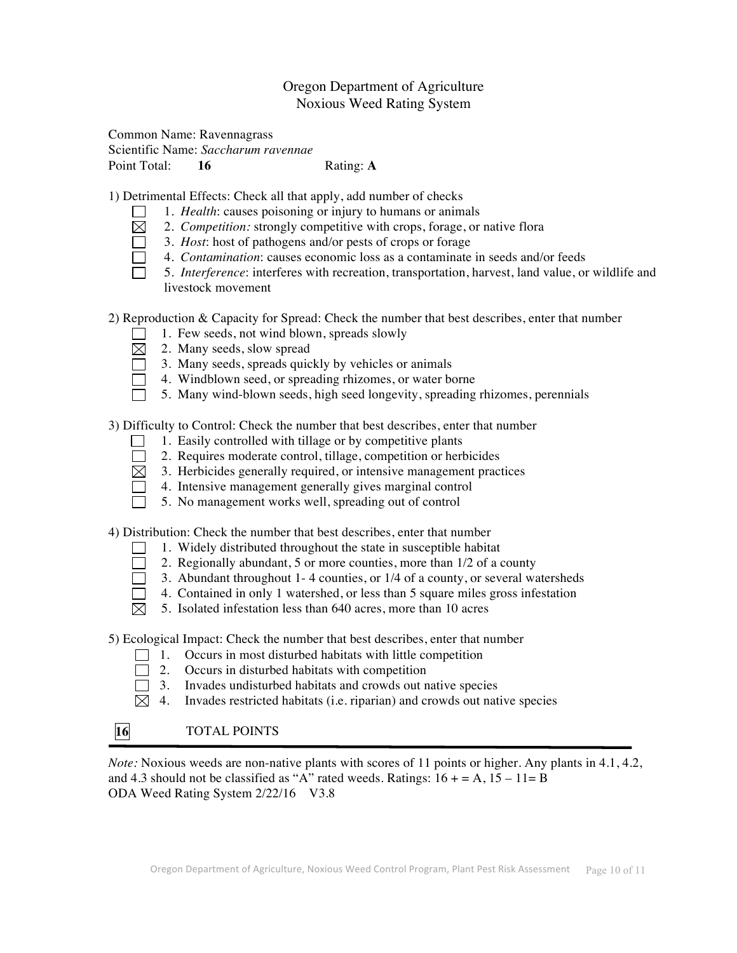## Oregon Department of Agriculture Noxious Weed Rating System

#### Common Name: Ravennagrass Scientific Name: *Saccharum ravennae* Point Total: **16** Rating: **A**

1) Detrimental Effects: Check all that apply, add number of checks

- 1. *Health*: causes poisoning or injury to humans or animals
- $\boxtimes$ 2. *Competition:* strongly competitive with crops, forage, or native flora
- ō 3. *Host*: host of pathogens and/or pests of crops or forage
- $\Box$ 4. *Contamination*: causes economic loss as a contaminate in seeds and/or feeds
- $\Box$ 5. *Interference*: interferes with recreation, transportation, harvest, land value, or wildlife and livestock movement

2) Reproduction & Capacity for Spread: Check the number that best describes, enter that number

- 1. Few seeds, not wind blown, spreads slowly
- $\boxtimes$ 2. Many seeds, slow spread
- 3. Many seeds, spreads quickly by vehicles or animals  $\Box$
- 4. Windblown seed, or spreading rhizomes, or water borne  $\Box$ 
	- 5. Many wind-blown seeds, high seed longevity, spreading rhizomes, perennials

3) Difficulty to Control: Check the number that best describes, enter that number

- 1. Easily controlled with tillage or by competitive plants
- $\Box$ 2. Requires moderate control, tillage, competition or herbicides
- $\boxtimes$  3. Herbicides generally required, or intensive management practices
- $\Box$  4. Intensive management generally gives marginal control
- $\Box$ 5. No management works well, spreading out of control

4) Distribution: Check the number that best describes, enter that number

- 1. Widely distributed throughout the state in susceptible habitat  $\Box$
- $\Box$ 2. Regionally abundant, 5 or more counties, more than 1/2 of a county
- $\Box$ 3. Abundant throughout 1- 4 counties, or 1/4 of a county, or several watersheds
- $\Box$ 4. Contained in only 1 watershed, or less than 5 square miles gross infestation
- $\boxtimes$ 5. Isolated infestation less than 640 acres, more than 10 acres

5) Ecological Impact: Check the number that best describes, enter that number

- $\Box$  1. Occurs in most disturbed habitats with little competition
- $\Box$  2. Occurs in disturbed habitats with competition
- $\Box$  3. Invades undisturbed habitats and crowds out native species
- $\boxtimes$  4. Invades restricted habitats (i.e. riparian) and crowds out native species

# **16** TOTAL POINTS

*Note:* Noxious weeds are non-native plants with scores of 11 points or higher. Any plants in 4.1, 4.2, and 4.3 should not be classified as "A" rated weeds. Ratings:  $16 + A$ ,  $15 - 11 = B$ ODA Weed Rating System 2/22/16 V3.8